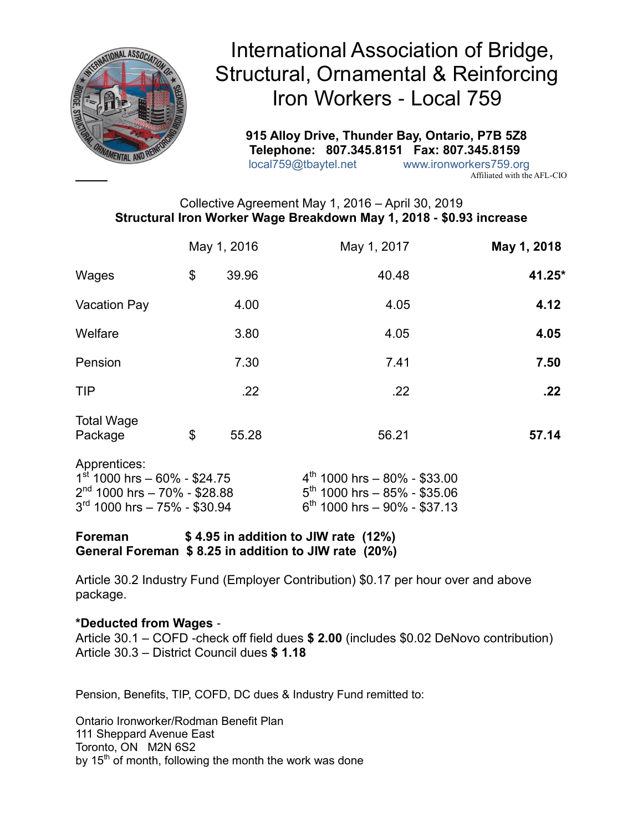

 **915 Alloy Drive, Thunder Bay, Ontario, P7B 5Z8 Telephone: 807.345.8151 Fax: 807.345.8159** local759@tbaytel.net www.ironworkers759.org

Affiliated with the AFL-CIO

# Collective Agreement May 1, 2016 – April 30, 2019 **Structural Iron Worker Wage Breakdown May 1, 2018 - \$0.93 increase**

|                                                                                                                    | May 1, 2016 |       | May 1, 2017                                                                                        | May 1, 2018 |
|--------------------------------------------------------------------------------------------------------------------|-------------|-------|----------------------------------------------------------------------------------------------------|-------------|
| Wages                                                                                                              | \$          | 39.96 | 40.48                                                                                              | 41.25*      |
| <b>Vacation Pay</b>                                                                                                |             | 4.00  | 4.05                                                                                               | 4.12        |
| Welfare                                                                                                            |             | 3.80  | 4.05                                                                                               | 4.05        |
| Pension                                                                                                            |             | 7.30  | 7.41                                                                                               | 7.50        |
| <b>TIP</b>                                                                                                         |             | .22   | .22                                                                                                | .22         |
| <b>Total Wage</b><br>Package                                                                                       | \$          | 55.28 | 56.21                                                                                              | 57.14       |
| Apprentices:<br>$1st$ 1000 hrs - 60% - \$24.75<br>$2nd$ 1000 hrs - 70% - \$28.88<br>$3rd$ 1000 hrs - 75% - \$30.94 |             |       | $4th$ 1000 hrs - 80% - \$33.00<br>$5th$ 1000 hrs - 85% - \$35.06<br>$6th$ 1000 hrs - 90% - \$37.13 |             |

**Foreman \$ 4.95 in addition to JIW rate (12%) General Foreman \$ 8.25 in addition to JIW rate (20%)**

Article 30.2 Industry Fund (Employer Contribution) \$0.17 per hour over and above package.

## **\*Deducted from Wages** -

Article 30.1 – COFD -check off field dues **\$ 2.00** (includes \$0.02 DeNovo contribution) Article 30.3 – District Council dues **\$ 1.18**

Pension, Benefits, TIP, COFD, DC dues & Industry Fund remitted to:

Ontario Ironworker/Rodman Benefit Plan 111 Sheppard Avenue East Toronto, ON M2N 6S2 by  $15<sup>th</sup>$  of month, following the month the work was done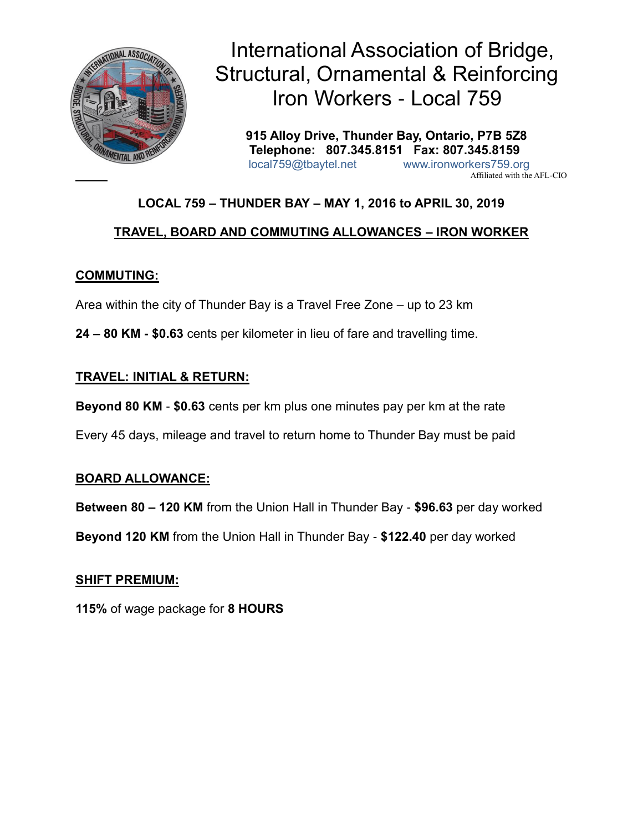

 **915 Alloy Drive, Thunder Bay, Ontario, P7B 5Z8 Telephone: 807.345.8151 Fax: 807.345.8159** local759@tbaytel.net www.ironworkers759.org Affiliated with the AFL-CIO

# **LOCAL 759 – THUNDER BAY – MAY 1, 2016 to APRIL 30, 2019**

# **TRAVEL, BOARD AND COMMUTING ALLOWANCES – IRON WORKER**

# **COMMUTING:**

Area within the city of Thunder Bay is a Travel Free Zone – up to 23 km

**24 – 80 KM - \$0.63** cents per kilometer in lieu of fare and travelling time.

# **TRAVEL: INITIAL & RETURN:**

**Beyond 80 KM** - **\$0.63** cents per km plus one minutes pay per km at the rate

Every 45 days, mileage and travel to return home to Thunder Bay must be paid

## **BOARD ALLOWANCE:**

**Between 80 – 120 KM** from the Union Hall in Thunder Bay - **\$96.63** per day worked

**Beyond 120 KM** from the Union Hall in Thunder Bay - **\$122.40** per day worked

## **SHIFT PREMIUM:**

**115%** of wage package for **8 HOURS**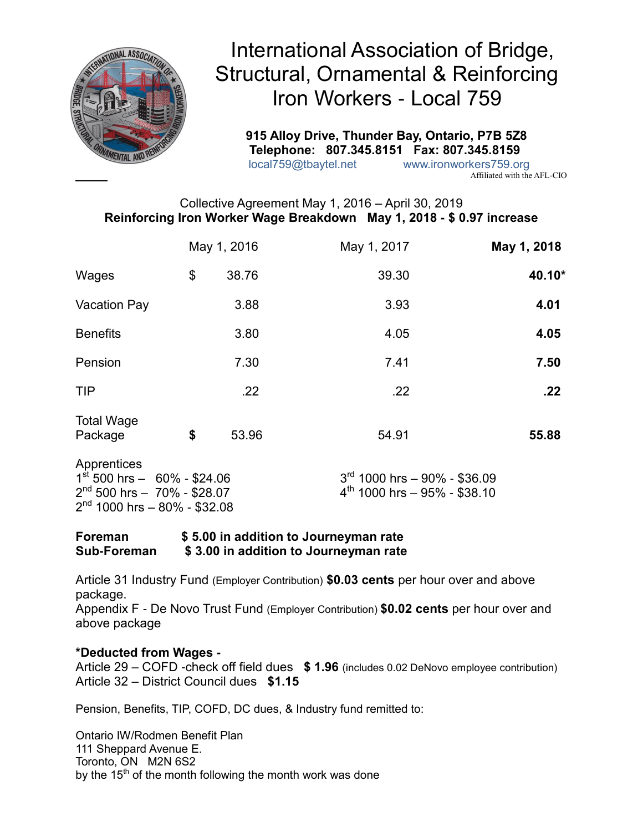

 **915 Alloy Drive, Thunder Bay, Ontario, P7B 5Z8 Telephone: 807.345.8151 Fax: 807.345.8159** local759@tbaytel.net www.ironworkers759.org

Affiliated with the AFL-CIO

# Collective Agreement May 1, 2016 – April 30, 2019 **Reinforcing Iron Worker Wage Breakdown May 1, 2018 - \$ 0.97 increase**

|                                                                                                                                | May 1, 2016 |       | May 1, 2017                                                         | May 1, 2018 |
|--------------------------------------------------------------------------------------------------------------------------------|-------------|-------|---------------------------------------------------------------------|-------------|
| Wages                                                                                                                          | \$          | 38.76 | 39.30                                                               | 40.10*      |
| <b>Vacation Pay</b>                                                                                                            |             | 3.88  | 3.93                                                                | 4.01        |
| <b>Benefits</b>                                                                                                                |             | 3.80  | 4.05                                                                | 4.05        |
| Pension                                                                                                                        |             | 7.30  | 7.41                                                                | 7.50        |
| <b>TIP</b>                                                                                                                     |             | .22   | .22                                                                 | .22         |
| <b>Total Wage</b><br>Package                                                                                                   | \$          | 53.96 | 54.91                                                               | 55.88       |
| Apprentices<br>$1^{\text{st}}$ 500 hrs $-$ 60% - \$24.06<br>$2^{nd}$ 500 hrs - 70% - \$28.07<br>$2nd$ 1000 hrs - 80% - \$32.08 |             |       | $3rd$ 1000 hrs - 90% - \$36.09<br>$4^{th}$ 1000 hrs - 95% - \$38.10 |             |

## **Foreman \$ 5.00 in addition to Journeyman rate Sub-Foreman \$ 3.00 in addition to Journeyman rate**

Article 31 Industry Fund (Employer Contribution) **\$0.03 cents** per hour over and above package.

Appendix F - De Novo Trust Fund (Employer Contribution) **\$0.02 cents** per hour over and above package

## **\*Deducted from Wages -**

Article 29 – COFD -check off field dues **\$ 1.96** (includes 0.02 DeNovo employee contribution) Article 32 – District Council dues **\$1.15**

Pension, Benefits, TIP, COFD, DC dues, & Industry fund remitted to:

Ontario IW/Rodmen Benefit Plan 111 Sheppard Avenue E. Toronto, ON M2N 6S2 by the  $15<sup>th</sup>$  of the month following the month work was done